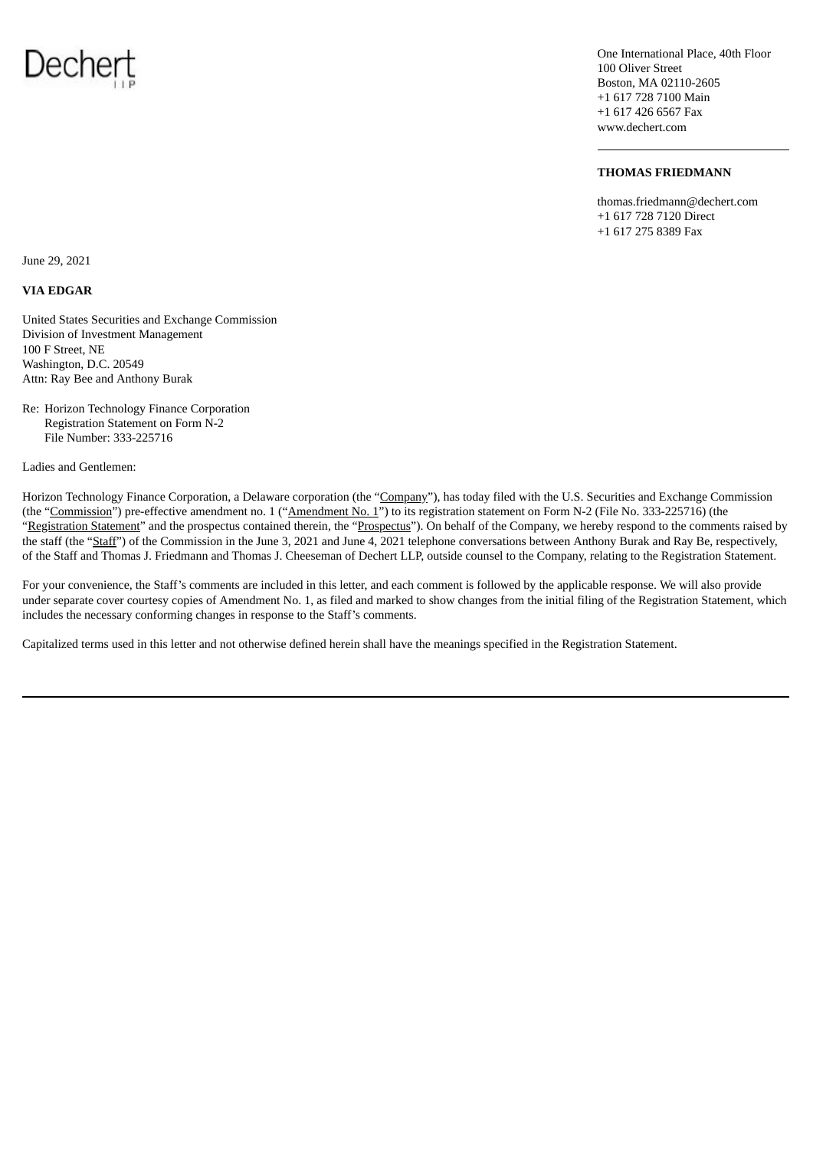

One International Place, 40th Floor 100 Oliver Street Boston, MA 02110-2605 +1 617 728 7100 Main +1 617 426 6567 Fax www.dechert.com

## **THOMAS FRIEDMANN**

thomas.friedmann@dechert.com +1 617 728 7120 Direct +1 617 275 8389 Fax

June 29, 2021

## **VIA EDGAR**

United States Securities and Exchange Commission Division of Investment Management 100 F Street, NE Washington, D.C. 20549 Attn: Ray Bee and Anthony Burak

Re: Horizon Technology Finance Corporation Registration Statement on Form N-2 File Number: 333-225716

Ladies and Gentlemen:

Horizon Technology Finance Corporation, a Delaware corporation (the "Company"), has today filed with the U.S. Securities and Exchange Commission (the "Commission") pre-effective amendment no. 1 ("Amendment No. 1") to its registration statement on Form N-2 (File No. 333-225716) (the "Registration Statement" and the prospectus contained therein, the "Prospectus"). On behalf of the Company, we hereby respond to the comments raised by the staff (the "Staff") of the Commission in the June 3, 2021 and June 4, 2021 telephone conversations between Anthony Burak and Ray Be, respectively, of the Staff and Thomas J. Friedmann and Thomas J. Cheeseman of Dechert LLP, outside counsel to the Company, relating to the Registration Statement.

For your convenience, the Staff's comments are included in this letter, and each comment is followed by the applicable response. We will also provide under separate cover courtesy copies of Amendment No. 1, as filed and marked to show changes from the initial filing of the Registration Statement, which includes the necessary conforming changes in response to the Staff's comments.

Capitalized terms used in this letter and not otherwise defined herein shall have the meanings specified in the Registration Statement.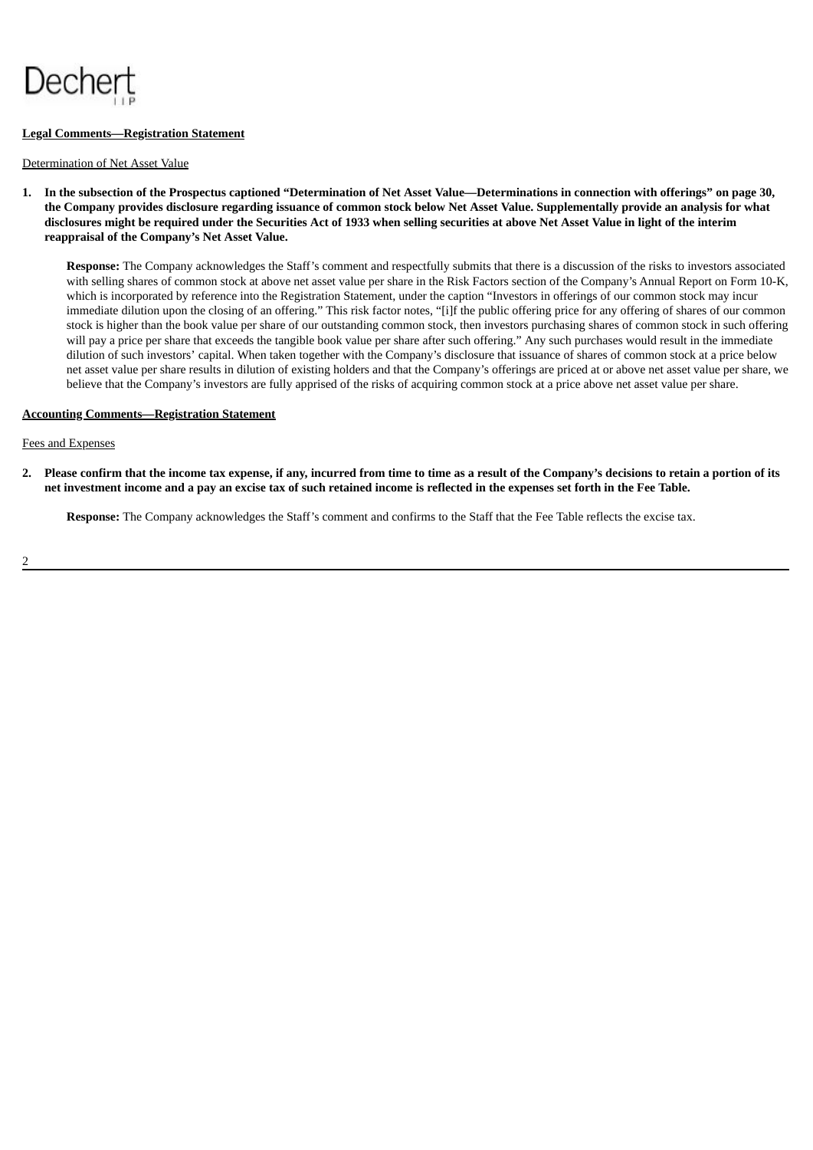

## **Legal Comments—Registration Statement**

#### Determination of Net Asset Value

1. In the subsection of the Prospectus captioned "Determination of Net Asset Value—Determinations in connection with offerings" on page 30, the Company provides disclosure regarding issuance of common stock below Net Asset Value. Supplementally provide an analysis for what disclosures might be required under the Securities Act of 1933 when selling securities at above Net Asset Value in light of the interim **reappraisal of the Company's Net Asset Value.**

**Response:** The Company acknowledges the Staff's comment and respectfully submits that there is a discussion of the risks to investors associated with selling shares of common stock at above net asset value per share in the Risk Factors section of the Company's Annual Report on Form 10-K, which is incorporated by reference into the Registration Statement, under the caption "Investors in offerings of our common stock may incur immediate dilution upon the closing of an offering." This risk factor notes, "[i]f the public offering price for any offering of shares of our common stock is higher than the book value per share of our outstanding common stock, then investors purchasing shares of common stock in such offering will pay a price per share that exceeds the tangible book value per share after such offering." Any such purchases would result in the immediate dilution of such investors' capital. When taken together with the Company's disclosure that issuance of shares of common stock at a price below net asset value per share results in dilution of existing holders and that the Company's offerings are priced at or above net asset value per share, we believe that the Company's investors are fully apprised of the risks of acquiring common stock at a price above net asset value per share.

## **Accounting Comments—Registration Statement**

## Fees and Expenses

2. Please confirm that the income tax expense, if any, incurred from time to time as a result of the Company's decisions to retain a portion of its net investment income and a pay an excise tax of such retained income is reflected in the expenses set forth in the Fee Table.

**Response:** The Company acknowledges the Staff's comment and confirms to the Staff that the Fee Table reflects the excise tax.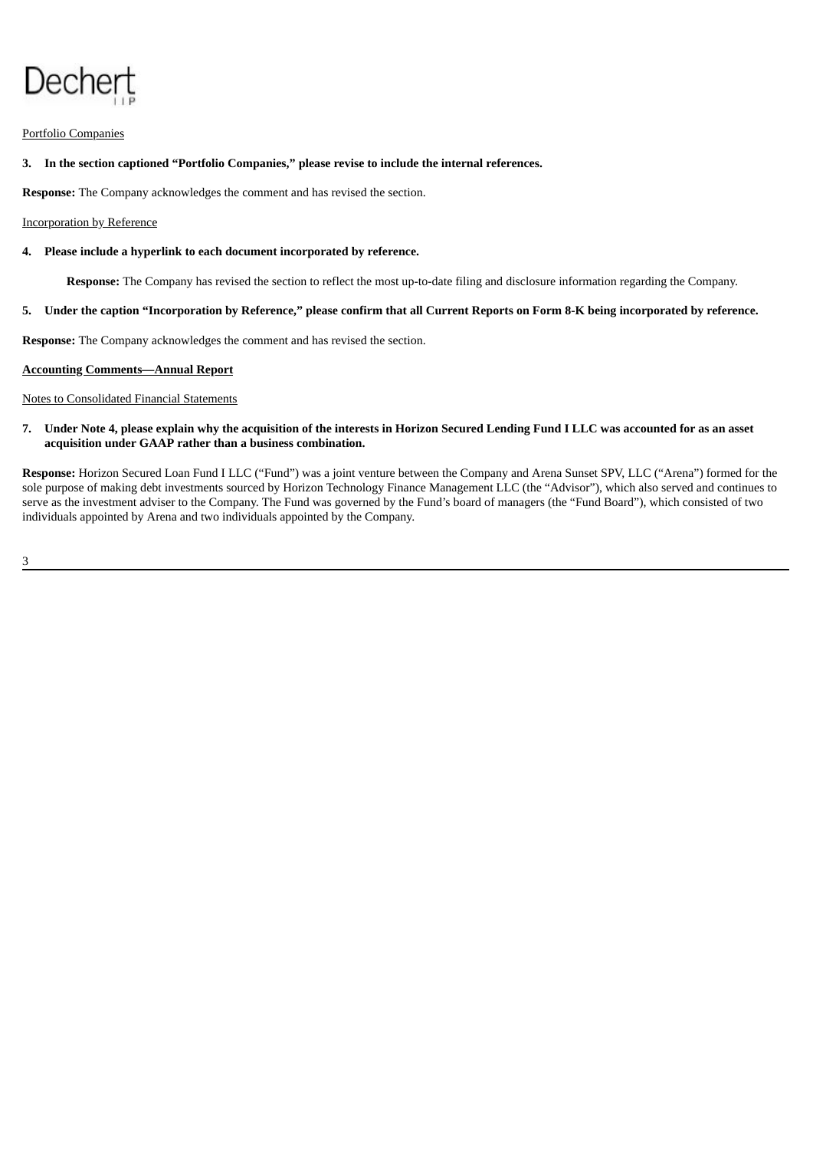# Dechert

## Portfolio Companies

## **3. In the section captioned "Portfolio Companies," please revise to include the internal references.**

**Response:** The Company acknowledges the comment and has revised the section.

## Incorporation by Reference

## **4. Please include a hyperlink to each document incorporated by reference.**

**Response:** The Company has revised the section to reflect the most up-to-date filing and disclosure information regarding the Company.

## 5. Under the caption "Incorporation by Reference," please confirm that all Current Reports on Form 8-K being incorporated by reference.

**Response:** The Company acknowledges the comment and has revised the section.

#### **Accounting Comments—Annual Report**

## Notes to Consolidated Financial Statements

7. Under Note 4, please explain why the acquisition of the interests in Horizon Secured Lending Fund I LLC was accounted for as an asset **acquisition under GAAP rather than a business combination.**

**Response:** Horizon Secured Loan Fund I LLC ("Fund") was a joint venture between the Company and Arena Sunset SPV, LLC ("Arena") formed for the sole purpose of making debt investments sourced by Horizon Technology Finance Management LLC (the "Advisor"), which also served and continues to serve as the investment adviser to the Company. The Fund was governed by the Fund's board of managers (the "Fund Board"), which consisted of two individuals appointed by Arena and two individuals appointed by the Company.